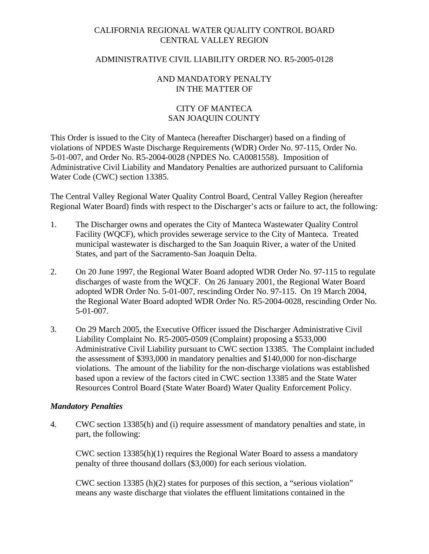## CALIFORNIA REGIONAL WATER QUALITY CONTROL BOARD CENTRAL VALLEY REGION

#### ADMINISTRATIVE CIVIL LIABILITY ORDER NO. R5-2005-0128

#### AND MANDATORY PENALTY IN THE MATTER OF

### CITY OF MANTECA SAN JOAQUIN COUNTY

This Order is issued to the City of Manteca (hereafter Discharger) based on a finding of violations of NPDES Waste Discharge Requirements (WDR) Order No. 97-115, Order No. 5-01-007, and Order No. R5-2004-0028 (NPDES No. CA0081558). Imposition of Administrative Civil Liability and Mandatory Penalties are authorized pursuant to California Water Code (CWC) section 13385.

The Central Valley Regional Water Quality Control Board, Central Valley Region (hereafter Regional Water Board) finds with respect to the Discharger's acts or failure to act, the following:

- 1. The Discharger owns and operates the City of Manteca Wastewater Quality Control Facility (WQCF), which provides sewerage service to the City of Manteca. Treated municipal wastewater is discharged to the San Joaquin River, a water of the United States, and part of the Sacramento-San Joaquin Delta.
- 2. On 20 June 1997, the Regional Water Board adopted WDR Order No. 97-115 to regulate discharges of waste from the WQCF. On 26 January 2001, the Regional Water Board adopted WDR Order No. 5-01-007, rescinding Order No. 97-115. On 19 March 2004, the Regional Water Board adopted WDR Order No. R5-2004-0028, rescinding Order No. 5-01-007.
- 3. On 29 March 2005, the Executive Officer issued the Discharger Administrative Civil Liability Complaint No. R5-2005-0509 (Complaint) proposing a \$533,000 Administrative Civil Liability pursuant to CWC section 13385. The Complaint included the assessment of \$393,000 in mandatory penalties and \$140,000 for non-discharge violations. The amount of the liability for the non-discharge violations was established based upon a review of the factors cited in CWC section 13385 and the State Water Resources Control Board (State Water Board) Water Quality Enforcement Policy.

#### *Mandatory Penalties*

4. CWC section 13385(h) and (i) require assessment of mandatory penalties and state, in part, the following:

CWC section 13385(h)(1) requires the Regional Water Board to assess a mandatory penalty of three thousand dollars (\$3,000) for each serious violation.

CWC section 13385 (h)(2) states for purposes of this section, a "serious violation" means any waste discharge that violates the effluent limitations contained in the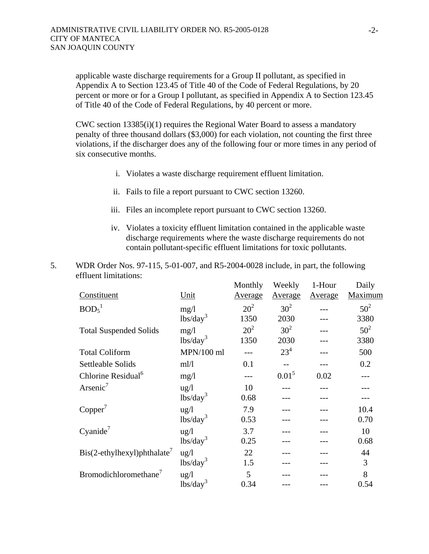applicable waste discharge requirements for a Group II pollutant, as specified in Appendix A to Section 123.45 of Title 40 of the Code of Federal Regulations, by 20 percent or more or for a Group I pollutant, as specified in Appendix A to Section 123.45 of Title 40 of the Code of Federal Regulations, by 40 percent or more.

CWC section 13385(i)(1) requires the Regional Water Board to assess a mandatory penalty of three thousand dollars (\$3,000) for each violation, not counting the first three violations, if the discharger does any of the following four or more times in any period of six consecutive months.

- i. Violates a waste discharge requirement effluent limitation.
- ii. Fails to file a report pursuant to CWC section 13260.
- iii. Files an incomplete report pursuant to CWC section 13260.
- iv. Violates a toxicity effluent limitation contained in the applicable waste discharge requirements where the waste discharge requirements do not contain pollutant-specific effluent limitations for toxic pollutants.
- 5. WDR Order Nos. 97-115, 5-01-007, and R5-2004-0028 include, in part, the following effluent limitations: and a state Weekly College State  $1-1$  $\overline{D}$

|                                             |                                                | Monthly         | Weekly          | 1-Hour  | Daily   |
|---------------------------------------------|------------------------------------------------|-----------------|-----------------|---------|---------|
| Constituent                                 | Unit                                           | Average         | Average         | Average | Maximum |
| BOD <sub>5</sub> <sup>1</sup>               | mg/1                                           | 20 <sup>2</sup> | 30 <sup>2</sup> |         | $50^2$  |
|                                             | lbs/day <sup>3</sup>                           | 1350            | 2030            |         | 3380    |
| <b>Total Suspended Solids</b>               | mg/1                                           | $20^2$          | 30 <sup>2</sup> |         | $50^2$  |
|                                             | $lbs/day^3$                                    | 1350            | 2030            |         | 3380    |
| <b>Total Coliform</b>                       | $MPN/100$ ml                                   |                 | $23^{4}$        |         | 500     |
| Settleable Solids                           | ml/l                                           | 0.1             |                 |         | 0.2     |
| Chlorine Residual <sup>6</sup>              | mg/1                                           |                 | $0.01^5$        | 0.02    |         |
| Arsenic <sup>7</sup>                        | $\frac{u g}{l}$                                | 10              |                 |         |         |
|                                             | $\frac{1}{\text{bs}}\left(\text{day}^3\right)$ | 0.68            |                 |         |         |
| Copper'                                     | $\frac{u g}{l}$                                | 7.9             |                 |         | 10.4    |
|                                             | $\frac{1}{\text{bs}}\text{day}^3$              | 0.53            |                 |         | 0.70    |
| Cyanide <sup>7</sup>                        | $\frac{u g}{l}$                                | 3.7             |                 |         | 10      |
|                                             | $\frac{1}{\text{bs}}\left(\text{day}^3\right)$ | 0.25            |                 |         | 0.68    |
| $\text{Bis}(2-\text{ethylhexyl})$ phthalate | $\frac{u g}{l}$                                | 22              |                 |         | 44      |
|                                             | $\frac{1}{\text{bs}}\left(\text{day}^3\right)$ | 1.5             |                 |         | 3       |
| Bromodichloromethane <sup>7</sup>           | ug/l                                           | 5               |                 |         | 8       |
|                                             | $\frac{1}{\text{bs}}\left(\text{day}^3\right)$ | 0.34            |                 |         | 0.54    |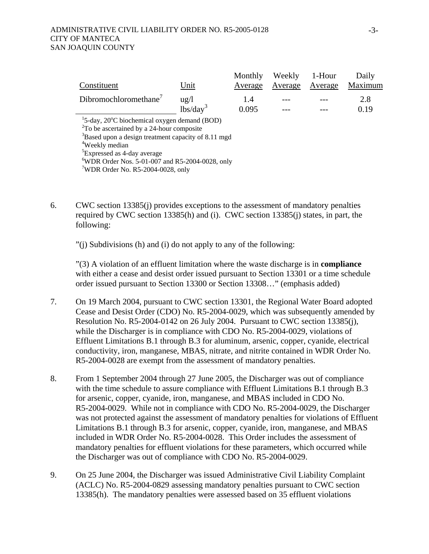|                                                                             |                 | Monthly | Weekly  | 1-Hour  | Daily   |
|-----------------------------------------------------------------------------|-----------------|---------|---------|---------|---------|
| Constituent                                                                 | Unit            | Average | Average | Average | Maximum |
| Dibromochloromethane <sup>7</sup>                                           | $\frac{u g}{l}$ | 1.4     |         |         | 2.8     |
|                                                                             | $lbs/day^3$     | 0.095   |         |         | 0.19    |
| <sup>1</sup> 5-day, 20 $\mathrm{^{\circ}C}$ biochemical oxygen demand (BOD) |                 |         |         |         |         |
| ${}^{2}$ To be ascertained by a 24-hour composite                           |                 |         |         |         |         |
| <sup>3</sup> Based upon a design treatment capacity of 8.11 mgd             |                 |         |         |         |         |
| <sup>4</sup> Weekly median                                                  |                 |         |         |         |         |
| <sup>5</sup> Expressed as 4-day average                                     |                 |         |         |         |         |
| <sup>6</sup> WDR Order Nos. 5-01-007 and R5-2004-0028, only                 |                 |         |         |         |         |
| $\sqrt{WDR}$ Order No. R5-2004-0028, only                                   |                 |         |         |         |         |

6. CWC section 13385(j) provides exceptions to the assessment of mandatory penalties required by CWC section 13385(h) and (i). CWC section 13385(j) states, in part, the following:

"(j) Subdivisions (h) and (i) do not apply to any of the following:

"(3) A violation of an effluent limitation where the waste discharge is in **compliance** with either a cease and desist order issued pursuant to Section 13301 or a time schedule order issued pursuant to Section 13300 or Section 13308…" (emphasis added)

- 7. On 19 March 2004, pursuant to CWC section 13301, the Regional Water Board adopted Cease and Desist Order (CDO) No. R5-2004-0029, which was subsequently amended by Resolution No. R5-2004-0142 on 26 July 2004. Pursuant to CWC section 13385(j), while the Discharger is in compliance with CDO No. R5-2004-0029, violations of Effluent Limitations B.1 through B.3 for aluminum, arsenic, copper, cyanide, electrical conductivity, iron, manganese, MBAS, nitrate, and nitrite contained in WDR Order No. R5-2004-0028 are exempt from the assessment of mandatory penalties.
- 8. From 1 September 2004 through 27 June 2005, the Discharger was out of compliance with the time schedule to assure compliance with Effluent Limitations B.1 through B.3 for arsenic, copper, cyanide, iron, manganese, and MBAS included in CDO No. R5-2004-0029. While not in compliance with CDO No. R5-2004-0029, the Discharger was not protected against the assessment of mandatory penalties for violations of Effluent Limitations B.1 through B.3 for arsenic, copper, cyanide, iron, manganese, and MBAS included in WDR Order No. R5-2004-0028. This Order includes the assessment of mandatory penalties for effluent violations for these parameters, which occurred while the Discharger was out of compliance with CDO No. R5-2004-0029.
- 9. On 25 June 2004, the Discharger was issued Administrative Civil Liability Complaint (ACLC) No. R5-2004-0829 assessing mandatory penalties pursuant to CWC section 13385(h). The mandatory penalties were assessed based on 35 effluent violations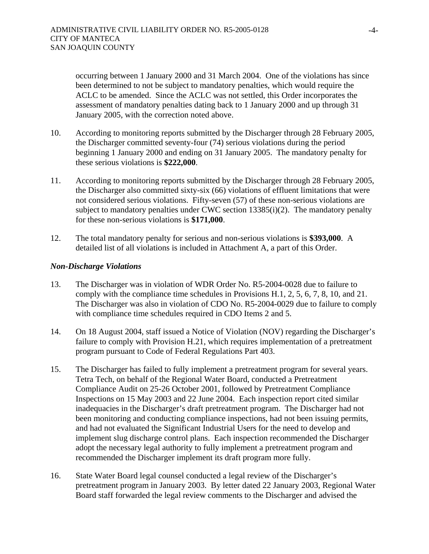occurring between 1 January 2000 and 31 March 2004. One of the violations has since been determined to not be subject to mandatory penalties, which would require the ACLC to be amended. Since the ACLC was not settled, this Order incorporates the assessment of mandatory penalties dating back to 1 January 2000 and up through 31 January 2005, with the correction noted above.

- 10. According to monitoring reports submitted by the Discharger through 28 February 2005, the Discharger committed seventy-four (74) serious violations during the period beginning 1 January 2000 and ending on 31 January 2005. The mandatory penalty for these serious violations is **\$222,000**.
- 11. According to monitoring reports submitted by the Discharger through 28 February 2005, the Discharger also committed sixty-six (66) violations of effluent limitations that were not considered serious violations. Fifty-seven (57) of these non-serious violations are subject to mandatory penalties under CWC section  $13385(i)(2)$ . The mandatory penalty for these non-serious violations is **\$171,000**.
- 12. The total mandatory penalty for serious and non-serious violations is **\$393,000**. A detailed list of all violations is included in Attachment A, a part of this Order.

#### *Non-Discharge Violations*

- 13. The Discharger was in violation of WDR Order No. R5-2004-0028 due to failure to comply with the compliance time schedules in Provisions H.1, 2, 5, 6, 7, 8, 10, and 21. The Discharger was also in violation of CDO No. R5-2004-0029 due to failure to comply with compliance time schedules required in CDO Items 2 and 5.
- 14. On 18 August 2004, staff issued a Notice of Violation (NOV) regarding the Discharger's failure to comply with Provision H.21, which requires implementation of a pretreatment program pursuant to Code of Federal Regulations Part 403.
- 15. The Discharger has failed to fully implement a pretreatment program for several years. Tetra Tech, on behalf of the Regional Water Board, conducted a Pretreatment Compliance Audit on 25-26 October 2001, followed by Pretreatment Compliance Inspections on 15 May 2003 and 22 June 2004. Each inspection report cited similar inadequacies in the Discharger's draft pretreatment program. The Discharger had not been monitoring and conducting compliance inspections, had not been issuing permits, and had not evaluated the Significant Industrial Users for the need to develop and implement slug discharge control plans. Each inspection recommended the Discharger adopt the necessary legal authority to fully implement a pretreatment program and recommended the Discharger implement its draft program more fully.
- 16. State Water Board legal counsel conducted a legal review of the Discharger's pretreatment program in January 2003. By letter dated 22 January 2003, Regional Water Board staff forwarded the legal review comments to the Discharger and advised the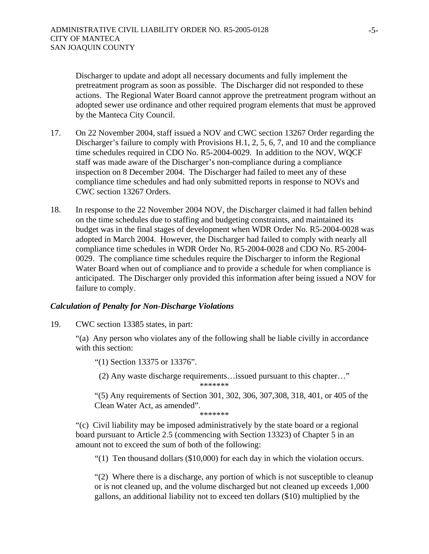Discharger to update and adopt all necessary documents and fully implement the pretreatment program as soon as possible. The Discharger did not responded to these actions. The Regional Water Board cannot approve the pretreatment program without an adopted sewer use ordinance and other required program elements that must be approved by the Manteca City Council.

- 17. On 22 November 2004, staff issued a NOV and CWC section 13267 Order regarding the Discharger's failure to comply with Provisions H.1, 2, 5, 6, 7, and 10 and the compliance time schedules required in CDO No. R5-2004-0029. In addition to the NOV, WQCF staff was made aware of the Discharger's non-compliance during a compliance inspection on 8 December 2004. The Discharger had failed to meet any of these compliance time schedules and had only submitted reports in response to NOVs and CWC section 13267 Orders.
- 18. In response to the 22 November 2004 NOV, the Discharger claimed it had fallen behind on the time schedules due to staffing and budgeting constraints, and maintained its budget was in the final stages of development when WDR Order No. R5-2004-0028 was adopted in March 2004. However, the Discharger had failed to comply with nearly all compliance time schedules in WDR Order No. R5-2004-0028 and CDO No. R5-2004- 0029. The compliance time schedules require the Discharger to inform the Regional Water Board when out of compliance and to provide a schedule for when compliance is anticipated. The Discharger only provided this information after being issued a NOV for failure to comply.

#### *Calculation of Penalty for Non-Discharge Violations*

19. CWC section 13385 states, in part:

"(a) Any person who violates any of the following shall be liable civilly in accordance with this section:

"(1) Section 13375 or 13376".

(2) Any waste discharge requirements…issued pursuant to this chapter…"

\*\*\*\*\*\*\*

"(5) Any requirements of Section 301, 302, 306, 307,308, 318, 401, or 405 of the Clean Water Act, as amended".

\*\*\*\*\*\*\*

"(c) Civil liability may be imposed administratively by the state board or a regional board pursuant to Article 2.5 (commencing with Section 13323) of Chapter 5 in an amount not to exceed the sum of both of the following:

"(1) Ten thousand dollars (\$10,000) for each day in which the violation occurs.

"(2) Where there is a discharge, any portion of which is not susceptible to cleanup or is not cleaned up, and the volume discharged but not cleaned up exceeds 1,000 gallons, an additional liability not to exceed ten dollars (\$10) multiplied by the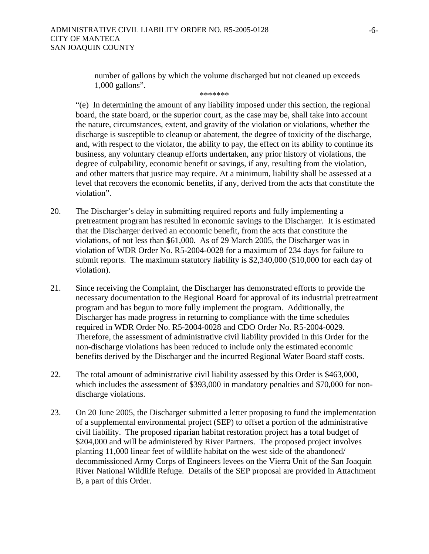#### ADMINISTRATIVE CIVIL LIABILITY ORDER NO. R5-2005-0128 CITY OF MANTECA SAN JOAQUIN COUNTY

number of gallons by which the volume discharged but not cleaned up exceeds 1,000 gallons".

\*\*\*\*\*\*\*

"(e) In determining the amount of any liability imposed under this section, the regional board, the state board, or the superior court, as the case may be, shall take into account the nature, circumstances, extent, and gravity of the violation or violations, whether the discharge is susceptible to cleanup or abatement, the degree of toxicity of the discharge, and, with respect to the violator, the ability to pay, the effect on its ability to continue its business, any voluntary cleanup efforts undertaken, any prior history of violations, the degree of culpability, economic benefit or savings, if any, resulting from the violation, and other matters that justice may require. At a minimum, liability shall be assessed at a level that recovers the economic benefits, if any, derived from the acts that constitute the violation".

- 20. The Discharger's delay in submitting required reports and fully implementing a pretreatment program has resulted in economic savings to the Discharger. It is estimated that the Discharger derived an economic benefit, from the acts that constitute the violations, of not less than \$61,000. As of 29 March 2005, the Discharger was in violation of WDR Order No. R5-2004-0028 for a maximum of 234 days for failure to submit reports. The maximum statutory liability is \$2,340,000 (\$10,000 for each day of violation).
- 21. Since receiving the Complaint, the Discharger has demonstrated efforts to provide the necessary documentation to the Regional Board for approval of its industrial pretreatment program and has begun to more fully implement the program. Additionally, the Discharger has made progress in returning to compliance with the time schedules required in WDR Order No. R5-2004-0028 and CDO Order No. R5-2004-0029. Therefore, the assessment of administrative civil liability provided in this Order for the non-discharge violations has been reduced to include only the estimated economic benefits derived by the Discharger and the incurred Regional Water Board staff costs.
- 22. The total amount of administrative civil liability assessed by this Order is \$463,000, which includes the assessment of \$393,000 in mandatory penalties and \$70,000 for nondischarge violations.
- 23. On 20 June 2005, the Discharger submitted a letter proposing to fund the implementation of a supplemental environmental project (SEP) to offset a portion of the administrative civil liability. The proposed riparian habitat restoration project has a total budget of \$204,000 and will be administered by River Partners. The proposed project involves planting 11,000 linear feet of wildlife habitat on the west side of the abandoned/ decommissioned Army Corps of Engineers levees on the Vierra Unit of the San Joaquin River National Wildlife Refuge. Details of the SEP proposal are provided in Attachment B, a part of this Order.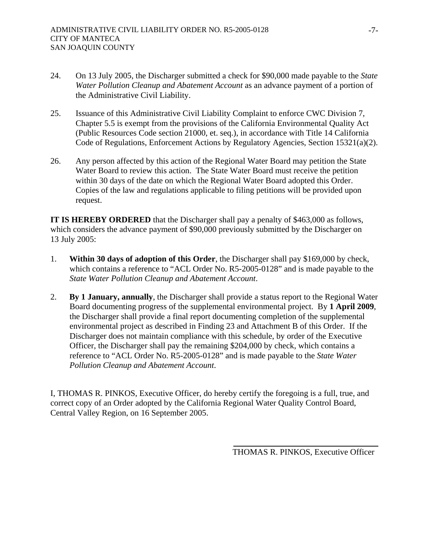- 24. On 13 July 2005, the Discharger submitted a check for \$90,000 made payable to the *State Water Pollution Cleanup and Abatement Account* as an advance payment of a portion of the Administrative Civil Liability.
- 25. Issuance of this Administrative Civil Liability Complaint to enforce CWC Division 7, Chapter 5.5 is exempt from the provisions of the California Environmental Quality Act (Public Resources Code section 21000, et. seq.), in accordance with Title 14 California Code of Regulations, Enforcement Actions by Regulatory Agencies, Section 15321(a)(2).
- 26. Any person affected by this action of the Regional Water Board may petition the State Water Board to review this action. The State Water Board must receive the petition within 30 days of the date on which the Regional Water Board adopted this Order. Copies of the law and regulations applicable to filing petitions will be provided upon request.

**IT IS HEREBY ORDERED** that the Discharger shall pay a penalty of \$463,000 as follows, which considers the advance payment of \$90,000 previously submitted by the Discharger on 13 July 2005:

- 1. **Within 30 days of adoption of this Order**, the Discharger shall pay \$169,000 by check, which contains a reference to "ACL Order No. R5-2005-0128" and is made payable to the *State Water Pollution Cleanup and Abatement Account*.
- 2. **By 1 January, annually**, the Discharger shall provide a status report to the Regional Water Board documenting progress of the supplemental environmental project. By **1 April 2009**, the Discharger shall provide a final report documenting completion of the supplemental environmental project as described in Finding 23 and Attachment B of this Order. If the Discharger does not maintain compliance with this schedule, by order of the Executive Officer, the Discharger shall pay the remaining \$204,000 by check, which contains a reference to "ACL Order No. R5-2005-0128" and is made payable to the *State Water Pollution Cleanup and Abatement Account*.

I, THOMAS R. PINKOS, Executive Officer, do hereby certify the foregoing is a full, true, and correct copy of an Order adopted by the California Regional Water Quality Control Board, Central Valley Region, on 16 September 2005.

THOMAS R. PINKOS, Executive Officer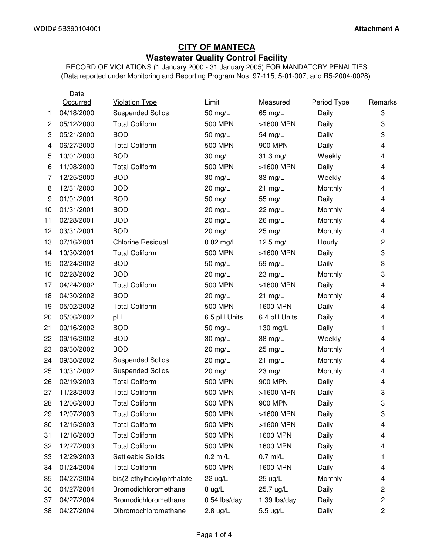# **CITY OF MANTECA Wastewater Quality Control Facility**

RECORD OF VIOLATIONS (1 January 2000 - 31 January 2005) FOR MANDATORY PENALTIES (Data reported under Monitoring and Reporting Program Nos. 97-115, 5-01-007, and R5-2004-0028)

|    | Date       |                            |                  |              |             |                |
|----|------------|----------------------------|------------------|--------------|-------------|----------------|
|    | Occurred   | <b>Violation Type</b>      | Limit            | Measured     | Period Type | Remarks        |
| 1  | 04/18/2000 | <b>Suspended Solids</b>    | 50 mg/L          | 65 mg/L      | Daily       | 3              |
| 2  | 05/12/2000 | <b>Total Coliform</b>      | <b>500 MPN</b>   | >1600 MPN    | Daily       | 3              |
| 3  | 05/21/2000 | <b>BOD</b>                 | 50 mg/L          | 54 mg/L      | Daily       | 3              |
| 4  | 06/27/2000 | <b>Total Coliform</b>      | <b>500 MPN</b>   | 900 MPN      | Daily       | 4              |
| 5  | 10/01/2000 | <b>BOD</b>                 | 30 mg/L          | 31.3 mg/L    | Weekly      | 4              |
| 6  | 11/08/2000 | <b>Total Coliform</b>      | <b>500 MPN</b>   | >1600 MPN    | Daily       | 4              |
| 7  | 12/25/2000 | <b>BOD</b>                 | 30 mg/L          | 33 mg/L      | Weekly      | 4              |
| 8  | 12/31/2000 | <b>BOD</b>                 | 20 mg/L          | $21$ mg/L    | Monthly     | 4              |
| 9  | 01/01/2001 | <b>BOD</b>                 | 50 mg/L          | 55 mg/L      | Daily       | 4              |
| 10 | 01/31/2001 | <b>BOD</b>                 | $20$ mg/L        | 22 mg/L      | Monthly     | 4              |
| 11 | 02/28/2001 | <b>BOD</b>                 | 20 mg/L          | 26 mg/L      | Monthly     | 4              |
| 12 | 03/31/2001 | <b>BOD</b>                 | $20$ mg/L        | 25 mg/L      | Monthly     | 4              |
| 13 | 07/16/2001 | <b>Chlorine Residual</b>   | $0.02$ mg/L      | 12.5 mg/L    | Hourly      | $\overline{c}$ |
| 14 | 10/30/2001 | <b>Total Coliform</b>      | <b>500 MPN</b>   | >1600 MPN    | Daily       | 3              |
| 15 | 02/24/2002 | <b>BOD</b>                 | 50 mg/L          | 59 mg/L      | Daily       | 3              |
| 16 | 02/28/2002 | <b>BOD</b>                 | $20$ mg/L        | 23 mg/L      | Monthly     | 3              |
| 17 | 04/24/2002 | <b>Total Coliform</b>      | <b>500 MPN</b>   | >1600 MPN    | Daily       | 4              |
| 18 | 04/30/2002 | <b>BOD</b>                 | $20$ mg/L        | $21$ mg/L    | Monthly     | 4              |
| 19 | 05/02/2002 | <b>Total Coliform</b>      | <b>500 MPN</b>   | 1600 MPN     | Daily       | 4              |
| 20 | 05/06/2002 | pH                         | 6.5 pH Units     | 6.4 pH Units | Daily       | 4              |
| 21 | 09/16/2002 | <b>BOD</b>                 | 50 mg/L          | 130 mg/L     | Daily       | 1              |
| 22 | 09/16/2002 | <b>BOD</b>                 | 30 mg/L          | 38 mg/L      | Weekly      | 4              |
| 23 | 09/30/2002 | <b>BOD</b>                 | 20 mg/L          | 25 mg/L      | Monthly     | 4              |
| 24 | 09/30/2002 | <b>Suspended Solids</b>    | 20 mg/L          | $21$ mg/L    | Monthly     | 4              |
| 25 | 10/31/2002 | <b>Suspended Solids</b>    | 20 mg/L          | 23 mg/L      | Monthly     | 4              |
| 26 | 02/19/2003 | <b>Total Coliform</b>      | <b>500 MPN</b>   | 900 MPN      | Daily       | 4              |
| 27 | 11/28/2003 | <b>Total Coliform</b>      | <b>500 MPN</b>   | >1600 MPN    | Daily       | 3              |
| 28 | 12/06/2003 | <b>Total Coliform</b>      | 500 MPN          | 900 MPN      | Daily       | 3              |
| 29 | 12/07/2003 | <b>Total Coliform</b>      | 500 MPN          | >1600 MPN    | Daily       | 3              |
| 30 | 12/15/2003 | <b>Total Coliform</b>      | 500 MPN          | >1600 MPN    | Daily       | 4              |
| 31 | 12/16/2003 | <b>Total Coliform</b>      | <b>500 MPN</b>   | 1600 MPN     | Daily       | 4              |
| 32 | 12/27/2003 | <b>Total Coliform</b>      | <b>500 MPN</b>   | 1600 MPN     | Daily       | 4              |
| 33 | 12/29/2003 | Settleable Solids          | $0.2$ ml/L       | $0.7$ ml/L   | Daily       | 1              |
| 34 | 01/24/2004 | <b>Total Coliform</b>      | <b>500 MPN</b>   | 1600 MPN     | Daily       | 4              |
| 35 | 04/27/2004 | bis(2-ethylhexyl)phthalate | 22 ug/L          | 25 ug/L      | Monthly     | 4              |
| 36 | 04/27/2004 | Bromodichloromethane       | $8 \text{ ug/L}$ | 25.7 ug/L    | Daily       | 2              |
| 37 | 04/27/2004 | Bromodichloromethane       | 0.54 lbs/day     | 1.39 lbs/day | Daily       | $\overline{c}$ |
| 38 | 04/27/2004 | Dibromochloromethane       | $2.8$ ug/L       | 5.5 ug/L     | Daily       | $\overline{c}$ |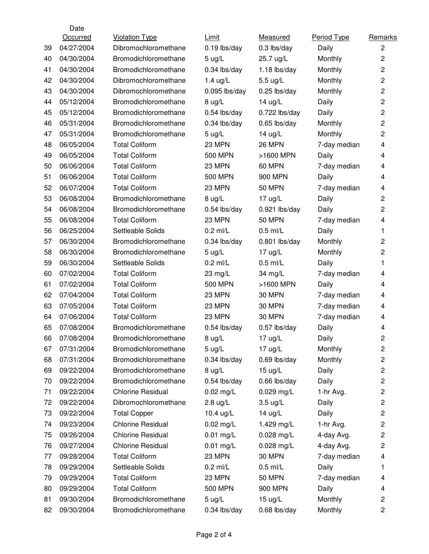|    | Date       |                          |                    |                    |              |                         |
|----|------------|--------------------------|--------------------|--------------------|--------------|-------------------------|
|    | Occurred   | <b>Violation Type</b>    | Limit              | Measured           | Period Type  | Remarks                 |
| 39 | 04/27/2004 | Dibromochloromethane     | $0.19$ lbs/day     | 0.3 lbs/day        | Daily        | $\overline{c}$          |
| 40 | 04/30/2004 | Bromodichloromethane     | $5 \text{ u}g/L$   | 25.7 ug/L          | Monthly      | $\overline{c}$          |
| 41 | 04/30/2004 | Bromodichloromethane     | 0.34 lbs/day       | $1.18$ lbs/day     | Monthly      | $\overline{c}$          |
| 42 | 04/30/2004 | Dibromochloromethane     | 1.4 $ug/L$         | 5.5 ug/L           | Monthly      | 2                       |
| 43 | 04/30/2004 | Dibromochloromethane     | $0.095$ lbs/day    | 0.25 lbs/day       | Monthly      | $\overline{c}$          |
| 44 | 05/12/2004 | Bromodichloromethane     | 8 ug/L             | $14$ ug/L          | Daily        | 2                       |
| 45 | 05/12/2004 | Bromodichloromethane     | 0.54 lbs/day       | $0.722$ lbs/day    | Daily        | $\overline{c}$          |
| 46 | 05/31/2004 | Bromodichloromethane     | $0.34$ lbs/day     | $0.65$ lbs/day     | Monthly      | $\overline{2}$          |
| 47 | 05/31/2004 | Bromodichloromethane     | $5 \text{ ug/L}$   | $14$ ug/L          | Monthly      | $\overline{c}$          |
| 48 | 06/05/2004 | <b>Total Coliform</b>    | 23 MPN             | <b>26 MPN</b>      | 7-day median | 4                       |
| 49 | 06/05/2004 | <b>Total Coliform</b>    | <b>500 MPN</b>     | >1600 MPN          | Daily        | 4                       |
| 50 | 06/06/2004 | <b>Total Coliform</b>    | 23 MPN             | <b>60 MPN</b>      | 7-day median | 4                       |
| 51 | 06/06/2004 | <b>Total Coliform</b>    | <b>500 MPN</b>     | 900 MPN            | Daily        | 4                       |
| 52 | 06/07/2004 | <b>Total Coliform</b>    | 23 MPN             | <b>50 MPN</b>      | 7-day median | 4                       |
| 53 | 06/08/2004 | Bromodichloromethane     | 8 ug/L             | $17$ ug/L          | Daily        | $\overline{c}$          |
| 54 | 06/08/2004 | Bromodichloromethane     | $0.54$ lbs/day     | $0.921$ lbs/day    | Daily        | 2                       |
| 55 | 06/08/2004 | <b>Total Coliform</b>    | 23 MPN             | <b>50 MPN</b>      | 7-day median | 4                       |
| 56 | 06/25/2004 | Settleable Solids        | $0.2$ ml/L         | $0.5$ ml/L         | Daily        | 1                       |
| 57 | 06/30/2004 | Bromodichloromethane     | $0.34$ lbs/day     | $0.801$ lbs/day    | Monthly      | 2                       |
| 58 | 06/30/2004 | Bromodichloromethane     | $5 \text{ u}g/L$   | $17$ ug/L          | Monthly      | 2                       |
| 59 | 06/30/2004 | Settleable Solids        | $0.2$ ml/L         | $0.5$ ml/L         | Daily        | 1                       |
| 60 | 07/02/2004 | <b>Total Coliform</b>    | 23 mg/L            | 34 mg/L            | 7-day median | 4                       |
| 61 | 07/02/2004 | <b>Total Coliform</b>    | <b>500 MPN</b>     | >1600 MPN          | Daily        | 4                       |
| 62 | 07/04/2004 | <b>Total Coliform</b>    | 23 MPN             | <b>30 MPN</b>      | 7-day median | 4                       |
| 63 | 07/05/2004 | <b>Total Coliform</b>    | 23 MPN             | <b>30 MPN</b>      | 7-day median | 4                       |
| 64 | 07/06/2004 | <b>Total Coliform</b>    | 23 MPN             | <b>30 MPN</b>      | 7-day median | 4                       |
| 65 | 07/08/2004 | Bromodichloromethane     | 0.54 lbs/day       | 0.57 lbs/day       | Daily        | 4                       |
| 66 | 07/08/2004 | Bromodichloromethane     | 8 ug/L             | 17 ug/L            | Daily        | $\overline{c}$          |
| 67 | 07/31/2004 | Bromodichloromethane     | $5 \text{ ug/L}$   | 17 ug/L            | Monthly      | $\overline{c}$          |
| 68 | 07/31/2004 | Bromodichloromethane     | 0.34 lbs/day       | 0.69 lbs/day       | Monthly      | $\overline{\mathbf{c}}$ |
| 69 | 09/22/2004 | Bromodichloromethane     | $8 \text{ ug/L}$   | $15 \text{ ug/L}$  | Daily        | $\overline{c}$          |
| 70 | 09/22/2004 | Bromodichloromethane     | 0.54 lbs/day       | 0.66 lbs/day       | Daily        | $\overline{c}$          |
| 71 | 09/22/2004 | <b>Chlorine Residual</b> | $0.02$ mg/L        | $0.029$ mg/L       | 1-hr Avg.    | $\overline{\mathbf{c}}$ |
| 72 | 09/22/2004 | Dibromochloromethane     | $2.8 \text{ ug/L}$ | $3.5 \text{ ug/L}$ | Daily        | $\overline{c}$          |
| 73 | 09/22/2004 | <b>Total Copper</b>      | 10.4 ug/L          | $14$ ug/L          | Daily        | $\overline{c}$          |
| 74 | 09/23/2004 | <b>Chlorine Residual</b> | $0.02$ mg/L        | 1.429 mg/L         | 1-hr Avg.    | $\overline{\mathbf{c}}$ |
| 75 | 09/26/2004 | <b>Chlorine Residual</b> | $0.01$ mg/L        | 0.028 mg/L         | 4-day Avg.   | 2                       |
| 76 | 09/27/2004 | <b>Chlorine Residual</b> | $0.01$ mg/L        | 0.028 mg/L         | 4-day Avg.   | $\overline{\mathbf{c}}$ |
| 77 | 09/28/2004 | <b>Total Coliform</b>    | 23 MPN             | <b>30 MPN</b>      | 7-day median | 4                       |
| 78 | 09/29/2004 | Settleable Solids        | $0.2$ ml/L         | $0.5$ ml/L         | Daily        | 1                       |
| 79 | 09/29/2004 | <b>Total Coliform</b>    | <b>23 MPN</b>      | <b>50 MPN</b>      | 7-day median | 4                       |
| 80 | 09/29/2004 | <b>Total Coliform</b>    | <b>500 MPN</b>     | 900 MPN            | Daily        | 4                       |
| 81 | 09/30/2004 | Bromodichloromethane     | $5 \text{ u}g/L$   | $15 \text{ u}g/L$  | Monthly      | $\overline{c}$          |
| 82 | 09/30/2004 | Bromodichloromethane     | 0.34 lbs/day       | 0.68 lbs/day       | Monthly      | $\overline{c}$          |
|    |            |                          |                    |                    |              |                         |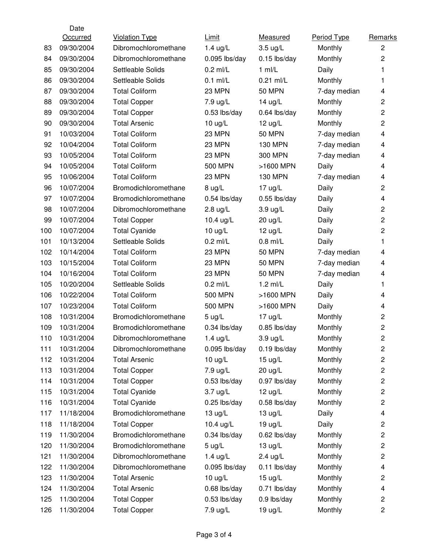|     | Date       |                       |                   |                   |              |                         |
|-----|------------|-----------------------|-------------------|-------------------|--------------|-------------------------|
|     | Occurred   | <b>Violation Type</b> | Limit             | Measured          | Period Type  | Remarks                 |
| 83  | 09/30/2004 | Dibromochloromethane  | $1.4$ ug/L        | 3.5 ug/L          | Monthly      | $\overline{c}$          |
| 84  | 09/30/2004 | Dibromochloromethane  | $0.095$ lbs/day   | $0.15$ lbs/day    | Monthly      | $\overline{c}$          |
| 85  | 09/30/2004 | Settleable Solids     | $0.2$ ml/L        | $1$ ml/L          | Daily        | 1                       |
| 86  | 09/30/2004 | Settleable Solids     | $0.1$ ml/L        | $0.21$ ml/L       | Monthly      | 1                       |
| 87  | 09/30/2004 | <b>Total Coliform</b> | 23 MPN            | <b>50 MPN</b>     | 7-day median | 4                       |
| 88  | 09/30/2004 | <b>Total Copper</b>   | 7.9 ug/L          | $14$ ug/L         | Monthly      | $\overline{2}$          |
| 89  | 09/30/2004 | <b>Total Copper</b>   | 0.53 lbs/day      | 0.64 lbs/day      | Monthly      | $\overline{c}$          |
| 90  | 09/30/2004 | <b>Total Arsenic</b>  | $10 \text{ ug/L}$ | $12$ ug/L         | Monthly      | $\overline{c}$          |
| 91  | 10/03/2004 | <b>Total Coliform</b> | 23 MPN            | <b>50 MPN</b>     | 7-day median | 4                       |
| 92  | 10/04/2004 | <b>Total Coliform</b> | 23 MPN            | <b>130 MPN</b>    | 7-day median | 4                       |
| 93  | 10/05/2004 | <b>Total Coliform</b> | 23 MPN            | 300 MPN           | 7-day median | 4                       |
| 94  | 10/05/2004 | <b>Total Coliform</b> | <b>500 MPN</b>    | >1600 MPN         | Daily        | 4                       |
| 95  | 10/06/2004 | <b>Total Coliform</b> | 23 MPN            | <b>130 MPN</b>    | 7-day median | 4                       |
| 96  | 10/07/2004 | Bromodichloromethane  | 8 ug/L            | $17$ ug/L         | Daily        | $\overline{2}$          |
| 97  | 10/07/2004 | Bromodichloromethane  | $0.54$ lbs/day    | $0.55$ lbs/day    | Daily        | $\overline{\mathbf{4}}$ |
| 98  | 10/07/2004 | Dibromochloromethane  | $2.8$ ug/L        | 3.9 ug/L          | Daily        | $\overline{2}$          |
| 99  | 10/07/2004 | <b>Total Copper</b>   | 10.4 ug/L         | 20 ug/L           | Daily        | $\overline{c}$          |
| 100 | 10/07/2004 | <b>Total Cyanide</b>  | $10 \text{ ug/L}$ | $12$ ug/L         | Daily        | $\overline{c}$          |
| 101 | 10/13/2004 | Settleable Solids     | $0.2$ ml/L        | $0.8$ ml/L        | Daily        | 1                       |
| 102 | 10/14/2004 | <b>Total Coliform</b> | 23 MPN            | <b>50 MPN</b>     | 7-day median | 4                       |
| 103 | 10/15/2004 | <b>Total Coliform</b> | 23 MPN            | <b>50 MPN</b>     | 7-day median | 4                       |
| 104 | 10/16/2004 | <b>Total Coliform</b> | 23 MPN            | <b>50 MPN</b>     | 7-day median | 4                       |
| 105 | 10/20/2004 | Settleable Solids     | $0.2$ ml/L        | $1.2$ ml/L        | Daily        | 1                       |
| 106 | 10/22/2004 | <b>Total Coliform</b> | <b>500 MPN</b>    | >1600 MPN         | Daily        | 4                       |
| 107 | 10/23/2004 | <b>Total Coliform</b> | <b>500 MPN</b>    | >1600 MPN         | Daily        | 4                       |
| 108 | 10/31/2004 | Bromodichloromethane  | $5 \text{ u}g/L$  | $17$ ug/L         | Monthly      | $\overline{c}$          |
| 109 | 10/31/2004 | Bromodichloromethane  | 0.34 lbs/day      | 0.85 lbs/day      | Monthly      | $\overline{2}$          |
| 110 | 10/31/2004 | Dibromochloromethane  | $1.4$ ug/L        | 3.9 ug/L          | Monthly      | 2                       |
| 111 | 10/31/2004 | Dibromochloromethane  | $0.095$ lbs/day   | $0.19$ lbs/day    | Monthly      | $\overline{c}$          |
| 112 | 10/31/2004 | <b>Total Arsenic</b>  | $10 \text{ ug/L}$ | $15 \text{ u}g/L$ | Monthly      | $\overline{\mathbf{c}}$ |
| 113 | 10/31/2004 | <b>Total Copper</b>   | 7.9 ug/L          | 20 ug/L           | Monthly      | $\overline{c}$          |
| 114 | 10/31/2004 | <b>Total Copper</b>   | $0.53$ lbs/day    | 0.97 lbs/day      | Monthly      | $\overline{\mathbf{c}}$ |
| 115 | 10/31/2004 | <b>Total Cyanide</b>  | $3.7$ ug/L        | $12$ ug/L         | Monthly      | $\overline{\mathbf{c}}$ |
| 116 | 10/31/2004 | <b>Total Cyanide</b>  | $0.25$ lbs/day    | $0.58$ lbs/day    | Monthly      | $\overline{\mathbf{c}}$ |
| 117 | 11/18/2004 | Bromodichloromethane  | $13 \text{ ug/L}$ | $13 \text{ u}g/L$ | Daily        | 4                       |
| 118 | 11/18/2004 | <b>Total Copper</b>   | 10.4 ug/L         | $19 \text{ ug/L}$ | Daily        | 2                       |
| 119 | 11/30/2004 | Bromodichloromethane  | 0.34 lbs/day      | 0.62 lbs/day      | Monthly      | 2                       |
| 120 | 11/30/2004 | Bromodichloromethane  | $5 \text{ u}g/L$  | $13 \text{ u}g/L$ | Monthly      | $\overline{c}$          |
| 121 | 11/30/2004 | Dibromochloromethane  | $1.4$ ug/L        | $2.4$ ug/L        | Monthly      | $\overline{c}$          |
| 122 | 11/30/2004 | Dibromochloromethane  | $0.095$ lbs/day   | $0.11$ lbs/day    | Monthly      | 4                       |
| 123 | 11/30/2004 | <b>Total Arsenic</b>  | $10 \text{ ug/L}$ | $15 \text{ u}g/L$ | Monthly      | $\overline{c}$          |
| 124 | 11/30/2004 | <b>Total Arsenic</b>  | 0.68 lbs/day      | 0.71 lbs/day      | Monthly      | 4                       |
| 125 | 11/30/2004 | <b>Total Copper</b>   | $0.53$ lbs/day    | 0.9 lbs/day       | Monthly      | $\overline{\mathbf{c}}$ |
| 126 | 11/30/2004 | <b>Total Copper</b>   | 7.9 ug/L          | 19 ug/L           | Monthly      | $\overline{\mathbf{c}}$ |
|     |            |                       |                   |                   |              |                         |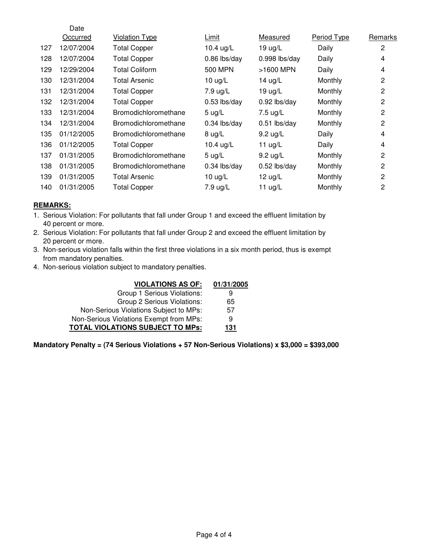|     | Date       |                       |                   |                    |                |                |
|-----|------------|-----------------------|-------------------|--------------------|----------------|----------------|
|     | Occurred   | <b>Violation Type</b> | Limit             | Measured           | Period Type    | Remarks        |
| 127 | 12/07/2004 | <b>Total Copper</b>   | 10.4 ug/L         | $19 \text{ ug/L}$  | Daily          | $\mathbf{2}$   |
| 128 | 12/07/2004 | <b>Total Copper</b>   | $0.86$ lbs/day    | $0.998$ lbs/day    | Daily          | 4              |
| 129 | 12/29/2004 | <b>Total Coliform</b> | 500 MPN           | >1600 MPN          | Daily          | 4              |
| 130 | 12/31/2004 | <b>Total Arsenic</b>  | 10 $\mu$ g/L      | 14 ug/L            | Monthly        | $\overline{c}$ |
| 131 | 12/31/2004 | <b>Total Copper</b>   | 7.9 ug/L          | $19 \text{ ug/L}$  | Monthly        | $\overline{c}$ |
| 132 | 12/31/2004 | <b>Total Copper</b>   | $0.53$ lbs/day    | $0.92$ lbs/day     | <b>Monthly</b> | $\overline{c}$ |
| 133 | 12/31/2004 | Bromodichloromethane  | $5 \text{ ug/L}$  | 7.5 ug/L           | Monthly        | $\overline{c}$ |
| 134 | 12/31/2004 | Bromodichloromethane  | $0.34$ lbs/day    | $0.51$ lbs/day     | Monthly        | $\overline{2}$ |
| 135 | 01/12/2005 | Bromodichloromethane  | $8 \text{ ug/L}$  | $9.2 \text{ ug/L}$ | Daily          | 4              |
| 136 | 01/12/2005 | <b>Total Copper</b>   | 10.4 ug/L         | 11 $ug/L$          | Daily          | 4              |
| 137 | 01/31/2005 | Bromodichloromethane  | 5 $\mu$ g/L       | $9.2$ ug/L         | Monthly        | $\overline{c}$ |
| 138 | 01/31/2005 | Bromodichloromethane  | $0.34$ lbs/day    | $0.52$ lbs/day     | Monthly        | $\overline{c}$ |
| 139 | 01/31/2005 | <b>Total Arsenic</b>  | $10 \text{ ug/L}$ | 12 ug/L            | Monthly        | 2              |
| 140 | 01/31/2005 | <b>Total Copper</b>   | 7.9 ug/L          | 11 $ug/L$          | Monthly        | $\overline{c}$ |

#### **REMARKS:**

- 1. Serious Violation: For pollutants that fall under Group 1 and exceed the effluent limitation by 40 percent or more.
- 2. Serious Violation: For pollutants that fall under Group 2 and exceed the effluent limitation by 20 percent or more.
- 3. Non-serious violation falls within the first three violations in a six month period, thus is exempt from mandatory penalties.
- 4. Non-serious violation subject to mandatory penalties.

| <b>VIOLATIONS AS OF:</b>                | 01/31/2005 |
|-----------------------------------------|------------|
| Group 1 Serious Violations:             | 9          |
| Group 2 Serious Violations:             | 65         |
| Non-Serious Violations Subject to MPs:  | 57         |
| Non-Serious Violations Exempt from MPs: | 9          |
| TOTAL VIOLATIONS SUBJECT TO MPs:        | 131        |

**Mandatory Penalty = (74 Serious Violations + 57 Non-Serious Violations) x \$3,000 = \$393,000**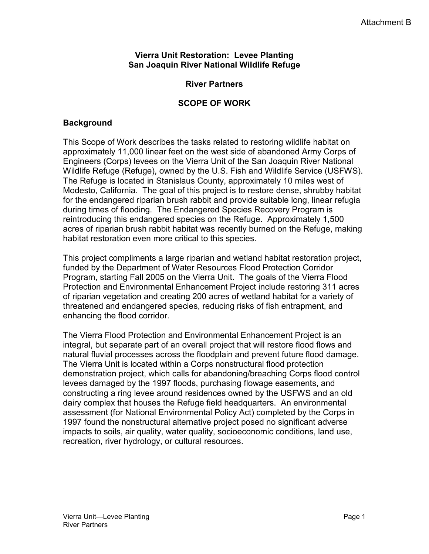#### **Vierra Unit Restoration: Levee Planting San Joaquin River National Wildlife Refuge**

### **River Partners**

### **SCOPE OF WORK**

### **Background**

This Scope of Work describes the tasks related to restoring wildlife habitat on approximately 11,000 linear feet on the west side of abandoned Army Corps of Engineers (Corps) levees on the Vierra Unit of the San Joaquin River National Wildlife Refuge (Refuge), owned by the U.S. Fish and Wildlife Service (USFWS). The Refuge is located in Stanislaus County, approximately 10 miles west of Modesto, California. The goal of this project is to restore dense, shrubby habitat for the endangered riparian brush rabbit and provide suitable long, linear refugia during times of flooding. The Endangered Species Recovery Program is reintroducing this endangered species on the Refuge. Approximately 1,500 acres of riparian brush rabbit habitat was recently burned on the Refuge, making habitat restoration even more critical to this species.

This project compliments a large riparian and wetland habitat restoration project, funded by the Department of Water Resources Flood Protection Corridor Program, starting Fall 2005 on the Vierra Unit. The goals of the Vierra Flood Protection and Environmental Enhancement Project include restoring 311 acres of riparian vegetation and creating 200 acres of wetland habitat for a variety of threatened and endangered species, reducing risks of fish entrapment, and enhancing the flood corridor.

The Vierra Flood Protection and Environmental Enhancement Project is an integral, but separate part of an overall project that will restore flood flows and natural fluvial processes across the floodplain and prevent future flood damage. The Vierra Unit is located within a Corps nonstructural flood protection demonstration project, which calls for abandoning/breaching Corps flood control levees damaged by the 1997 floods, purchasing flowage easements, and constructing a ring levee around residences owned by the USFWS and an old dairy complex that houses the Refuge field headquarters. An environmental assessment (for National Environmental Policy Act) completed by the Corps in 1997 found the nonstructural alternative project posed no significant adverse impacts to soils, air quality, water quality, socioeconomic conditions, land use, recreation, river hydrology, or cultural resources.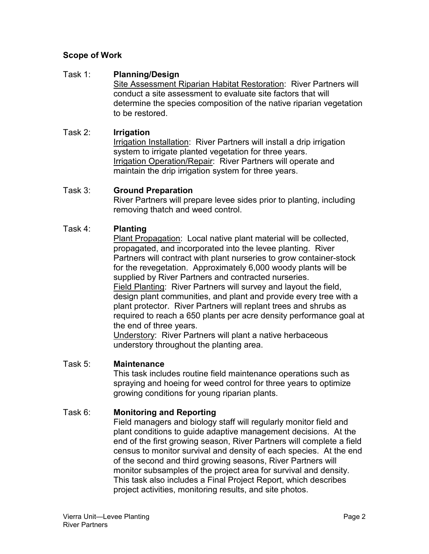# **Scope of Work**

## Task 1: **Planning/Design**

Site Assessment Riparian Habitat Restoration: River Partners will conduct a site assessment to evaluate site factors that will determine the species composition of the native riparian vegetation to be restored.

## Task 2: **Irrigation**

Irrigation Installation: River Partners will install a drip irrigation system to irrigate planted vegetation for three years. Irrigation Operation/Repair: River Partners will operate and maintain the drip irrigation system for three years.

### Task 3: **Ground Preparation**

River Partners will prepare levee sides prior to planting, including removing thatch and weed control.

## Task 4: **Planting**

Plant Propagation: Local native plant material will be collected, propagated, and incorporated into the levee planting. River Partners will contract with plant nurseries to grow container-stock for the revegetation. Approximately 6,000 woody plants will be supplied by River Partners and contracted nurseries. Field Planting: River Partners will survey and layout the field, design plant communities, and plant and provide every tree with a plant protector. River Partners will replant trees and shrubs as required to reach a 650 plants per acre density performance goal at the end of three years.

Understory: River Partners will plant a native herbaceous understory throughout the planting area.

# Task 5: **Maintenance**

This task includes routine field maintenance operations such as spraying and hoeing for weed control for three years to optimize growing conditions for young riparian plants.

# Task 6: **Monitoring and Reporting**

Field managers and biology staff will regularly monitor field and plant conditions to guide adaptive management decisions. At the end of the first growing season, River Partners will complete a field census to monitor survival and density of each species. At the end of the second and third growing seasons, River Partners will monitor subsamples of the project area for survival and density. This task also includes a Final Project Report, which describes project activities, monitoring results, and site photos.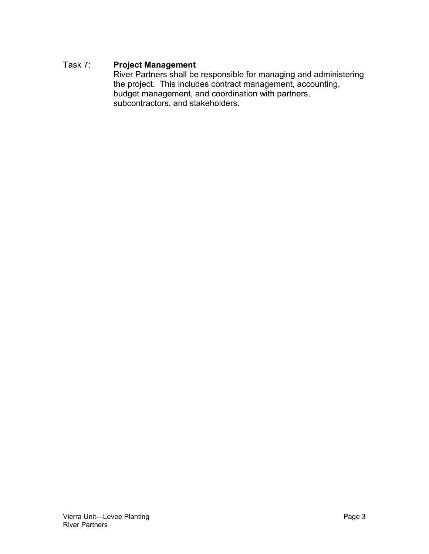# Task 7: **Project Management**

River Partners shall be responsible for managing and administering the project. This includes contract management, accounting, budget management, and coordination with partners, subcontractors, and stakeholders.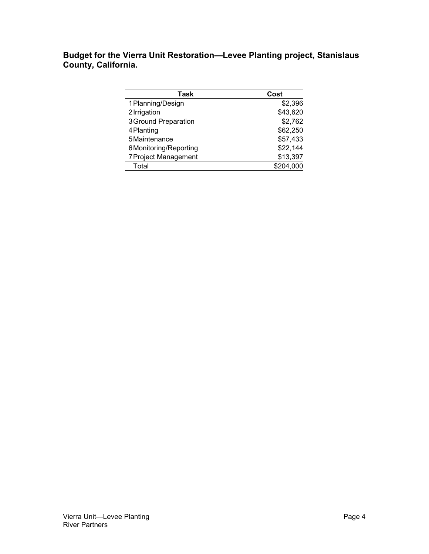**Budget for the Vierra Unit Restoration—Levee Planting project, Stanislaus County, California.** 

| Task                        | Cost      |
|-----------------------------|-----------|
| 1 Planning/Design           | \$2,396   |
| 2 Irrigation                | \$43,620  |
| <b>3Ground Preparation</b>  | \$2,762   |
| 4 Planting                  | \$62,250  |
| 5 Maintenance               | \$57,433  |
| 6Monitoring/Reporting       | \$22,144  |
| <b>7 Project Management</b> | \$13,397  |
| Total                       | \$204,000 |